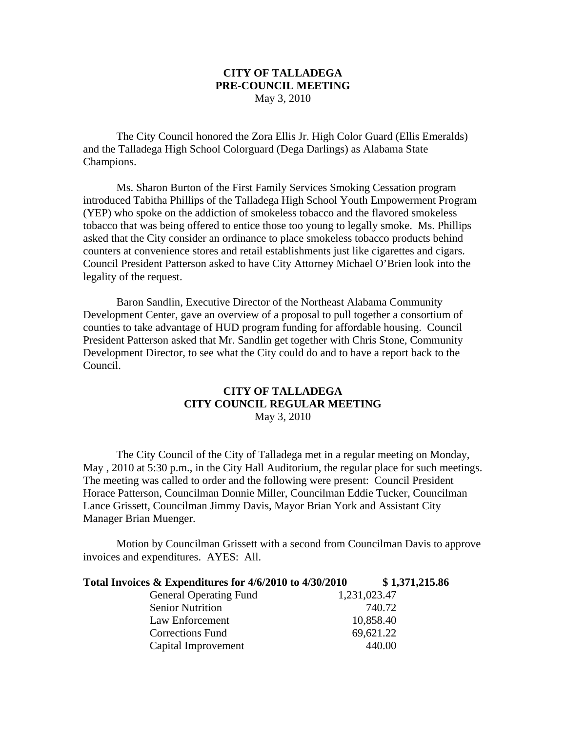## **CITY OF TALLADEGA PRE-COUNCIL MEETING** May 3, 2010

The City Council honored the Zora Ellis Jr. High Color Guard (Ellis Emeralds) and the Talladega High School Colorguard (Dega Darlings) as Alabama State Champions.

Ms. Sharon Burton of the First Family Services Smoking Cessation program introduced Tabitha Phillips of the Talladega High School Youth Empowerment Program (YEP) who spoke on the addiction of smokeless tobacco and the flavored smokeless tobacco that was being offered to entice those too young to legally smoke. Ms. Phillips asked that the City consider an ordinance to place smokeless tobacco products behind counters at convenience stores and retail establishments just like cigarettes and cigars. Council President Patterson asked to have City Attorney Michael O'Brien look into the legality of the request.

Baron Sandlin, Executive Director of the Northeast Alabama Community Development Center, gave an overview of a proposal to pull together a consortium of counties to take advantage of HUD program funding for affordable housing. Council President Patterson asked that Mr. Sandlin get together with Chris Stone, Community Development Director, to see what the City could do and to have a report back to the Council.

## **CITY OF TALLADEGA CITY COUNCIL REGULAR MEETING** May 3, 2010

The City Council of the City of Talladega met in a regular meeting on Monday, May, 2010 at 5:30 p.m., in the City Hall Auditorium, the regular place for such meetings. The meeting was called to order and the following were present: Council President Horace Patterson, Councilman Donnie Miller, Councilman Eddie Tucker, Councilman Lance Grissett, Councilman Jimmy Davis, Mayor Brian York and Assistant City Manager Brian Muenger.

Motion by Councilman Grissett with a second from Councilman Davis to approve invoices and expenditures. AYES: All.

| Total Invoices & Expenditures for 4/6/2010 to 4/30/2010 |              | \$1,371,215.86 |
|---------------------------------------------------------|--------------|----------------|
| <b>General Operating Fund</b>                           | 1,231,023.47 |                |
| <b>Senior Nutrition</b>                                 |              | 740.72         |
| Law Enforcement                                         |              | 10,858.40      |
| <b>Corrections Fund</b>                                 |              | 69,621.22      |
| Capital Improvement                                     |              | 440.00         |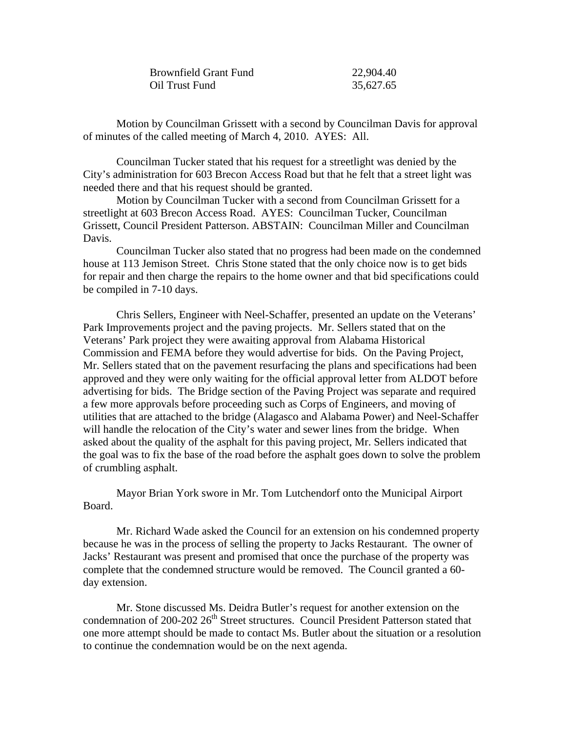| <b>Brownfield Grant Fund</b> | 22,904.40 |
|------------------------------|-----------|
| Oil Trust Fund               | 35,627.65 |

Motion by Councilman Grissett with a second by Councilman Davis for approval of minutes of the called meeting of March 4, 2010. AYES: All.

Councilman Tucker stated that his request for a streetlight was denied by the City's administration for 603 Brecon Access Road but that he felt that a street light was needed there and that his request should be granted.

Motion by Councilman Tucker with a second from Councilman Grissett for a streetlight at 603 Brecon Access Road. AYES: Councilman Tucker, Councilman Grissett, Council President Patterson. ABSTAIN: Councilman Miller and Councilman Davis.

Councilman Tucker also stated that no progress had been made on the condemned house at 113 Jemison Street. Chris Stone stated that the only choice now is to get bids for repair and then charge the repairs to the home owner and that bid specifications could be compiled in 7-10 days.

Chris Sellers, Engineer with Neel-Schaffer, presented an update on the Veterans' Park Improvements project and the paving projects. Mr. Sellers stated that on the Veterans' Park project they were awaiting approval from Alabama Historical Commission and FEMA before they would advertise for bids. On the Paving Project, Mr. Sellers stated that on the pavement resurfacing the plans and specifications had been approved and they were only waiting for the official approval letter from ALDOT before advertising for bids. The Bridge section of the Paving Project was separate and required a few more approvals before proceeding such as Corps of Engineers, and moving of utilities that are attached to the bridge (Alagasco and Alabama Power) and Neel-Schaffer will handle the relocation of the City's water and sewer lines from the bridge. When asked about the quality of the asphalt for this paving project, Mr. Sellers indicated that the goal was to fix the base of the road before the asphalt goes down to solve the problem of crumbling asphalt.

Mayor Brian York swore in Mr. Tom Lutchendorf onto the Municipal Airport Board.

Mr. Richard Wade asked the Council for an extension on his condemned property because he was in the process of selling the property to Jacks Restaurant. The owner of Jacks' Restaurant was present and promised that once the purchase of the property was complete that the condemned structure would be removed. The Council granted a 60 day extension.

Mr. Stone discussed Ms. Deidra Butler's request for another extension on the condemnation of 200-202  $26<sup>th</sup>$  Street structures. Council President Patterson stated that one more attempt should be made to contact Ms. Butler about the situation or a resolution to continue the condemnation would be on the next agenda.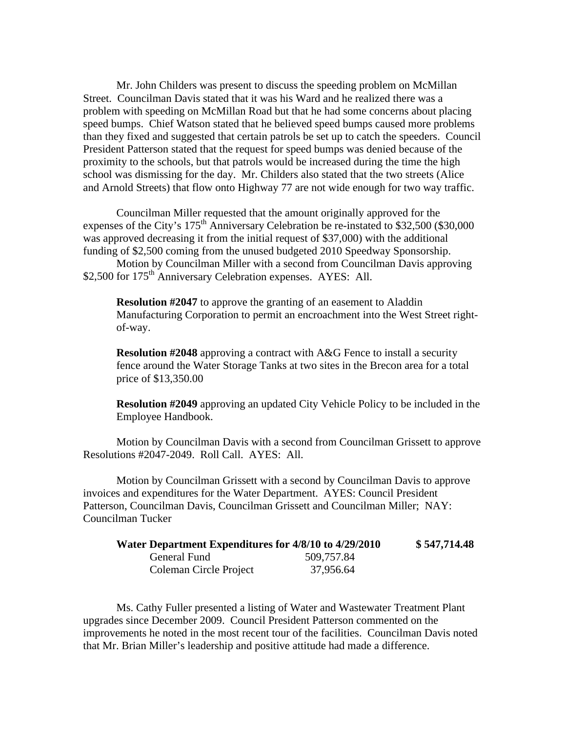Mr. John Childers was present to discuss the speeding problem on McMillan Street. Councilman Davis stated that it was his Ward and he realized there was a problem with speeding on McMillan Road but that he had some concerns about placing speed bumps. Chief Watson stated that he believed speed bumps caused more problems than they fixed and suggested that certain patrols be set up to catch the speeders. Council President Patterson stated that the request for speed bumps was denied because of the proximity to the schools, but that patrols would be increased during the time the high school was dismissing for the day. Mr. Childers also stated that the two streets (Alice and Arnold Streets) that flow onto Highway 77 are not wide enough for two way traffic.

Councilman Miller requested that the amount originally approved for the expenses of the City's  $175<sup>th</sup>$  Anniversary Celebration be re-instated to \$32,500 (\$30,000) was approved decreasing it from the initial request of \$37,000) with the additional funding of \$2,500 coming from the unused budgeted 2010 Speedway Sponsorship.

Motion by Councilman Miller with a second from Councilman Davis approving \$2,500 for 175<sup>th</sup> Anniversary Celebration expenses. AYES: All.

**Resolution #2047** to approve the granting of an easement to Aladdin Manufacturing Corporation to permit an encroachment into the West Street rightof-way.

**Resolution #2048** approving a contract with A&G Fence to install a security fence around the Water Storage Tanks at two sites in the Brecon area for a total price of \$13,350.00

**Resolution #2049** approving an updated City Vehicle Policy to be included in the Employee Handbook.

Motion by Councilman Davis with a second from Councilman Grissett to approve Resolutions #2047-2049. Roll Call. AYES: All.

Motion by Councilman Grissett with a second by Councilman Davis to approve invoices and expenditures for the Water Department. AYES: Council President Patterson, Councilman Davis, Councilman Grissett and Councilman Miller; NAY: Councilman Tucker

| Water Department Expenditures for 4/8/10 to 4/29/2010 |            | \$547,714.48 |
|-------------------------------------------------------|------------|--------------|
| General Fund                                          | 509,757.84 |              |
| Coleman Circle Project                                | 37,956.64  |              |

Ms. Cathy Fuller presented a listing of Water and Wastewater Treatment Plant upgrades since December 2009. Council President Patterson commented on the improvements he noted in the most recent tour of the facilities. Councilman Davis noted that Mr. Brian Miller's leadership and positive attitude had made a difference.